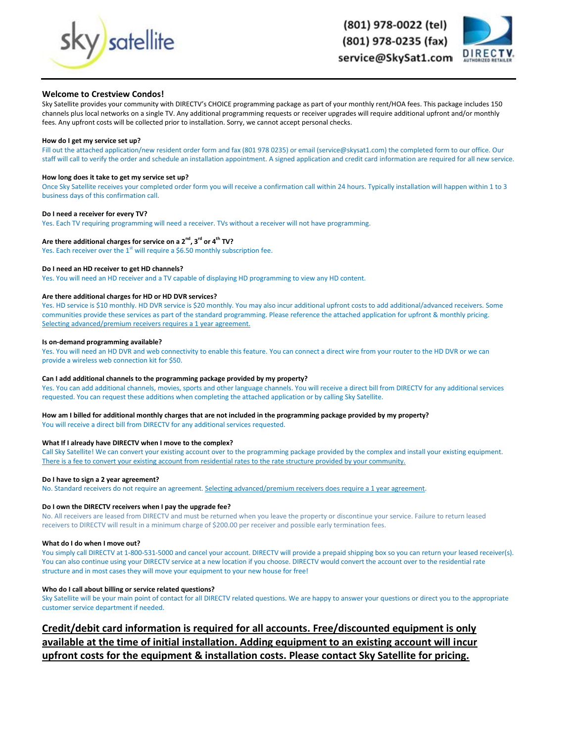





# **Welcome to Crestview Condos!**

Sky Satellite provides your community with DIRECTV's CHOICE programming package as part of your monthly rent/HOA fees. This package includes 150 channels plus local networks on a single TV. Any additional programming requests or receiver upgrades will require additional upfront and/or monthly fees. Any upfront costs will be collected prior to installation. Sorry, we cannot accept personal checks.

#### **How do I get my service set up?**

Fill out the attached application/new resident order form and fax (801 978 0235) or email (service@skysat1.com) the completed form to our office. Our staff will call to verify the order and schedule an installation appointment. A signed application and credit card information are required for all new service.

### **How long does it take to get my service set up?**

Once Sky Satellite receives your completed order form you will receive a confirmation call within 24 hours. Typically installation will happen within 1 to 3 business days of this confirmation call.

#### **Do I need a receiver for every TV?**

Yes. Each TV requiring programming will need a receiver. TVs without a receiver will not have programming.

# **Are there additional charges for service on a 2nd, 3rd or 4th TV?**

Yes. Each receiver over the  $1<sup>st</sup>$  will require a \$6.50 monthly subscription fee.

#### **Do I need an HD receiver to get HD channels?**

Yes. You will need an HD receiver and a TV capable of displaying HD programming to view any HD content.

#### **Are there additional charges for HD or HD DVR services?**

Yes. HD service is \$10 monthly. HD DVR service is \$20 monthly. You may also incur additional upfront costs to add additional/advanced receivers. Some communities provide these services as part of the standard programming. Please reference the attached application for upfront & monthly pricing. Selecting advanced/premium receivers requires a 1 year agreement.

#### **Is on-demand programming available?**

Yes. You will need an HD DVR and web connectivity to enable this feature. You can connect a direct wire from your router to the HD DVR or we can provide a wireless web connection kit for \$50.

#### **Can I add additional channels to the programming package provided by my property?**

Yes. You can add additional channels, movies, sports and other language channels. You will receive a direct bill from DIRECTV for any additional services requested. You can request these additions when completing the attached application or by calling Sky Satellite.

# **How am I billed for additional monthly charges that are not included in the programming package provided by my property?**

You will receive a direct bill from DIRECTV for any additional services requested.

# **What If I already have DIRECTV when I move to the complex?**

Call Sky Satellite! We can convert your existing account over to the programming package provided by the complex and install your existing equipment. There is a fee to convert your existing account from residential rates to the rate structure provided by your community.

#### **Do I have to sign a 2 year agreement?**

No. Standard receivers do not require an agreement. Selecting advanced/premium receivers does require a 1 year agreement.

## **Do I own the DIRECTV receivers when I pay the upgrade fee?**

No. All receivers are leased from DIRECTV and must be returned when you leave the property or discontinue your service. Failure to return leased receivers to DIRECTV will result in a minimum charge of \$200.00 per receiver and possible early termination fees.

#### **What do I do when I move out?**

You simply call DIRECTV at 1-800-531-5000 and cancel your account. DIRECTV will provide a prepaid shipping box so you can return your leased receiver(s). You can also continue using your DIRECTV service at a new location if you choose. DIRECTV would convert the account over to the residential rate structure and in most cases they will move your equipment to your new house for free!

#### **Who do I call about billing or service related questions?**

Sky Satellite will be your main point of contact for all DIRECTV related questions. We are happy to answer your questions or direct you to the appropriate customer service department if needed.

**Credit/debit card information is required for all accounts. Free/discounted equipment is only available at the time of initial installation. Adding equipment to an existing account will incur upfront costs for the equipment & installation costs. Please contact Sky Satellite for pricing.**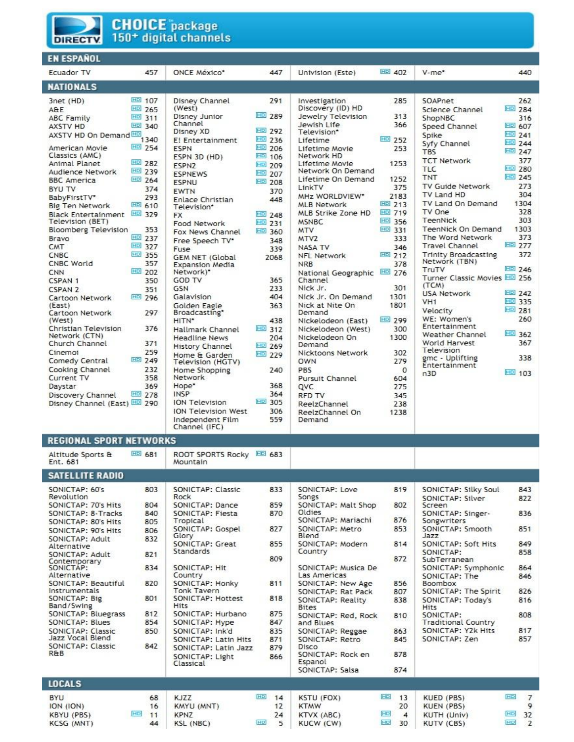

CNBC

CNN

CSPAN 1

CSPAN 2

(East)

(West)

Cinemoi

Daystar

Current TV

**CNBC World** 

Cartoon Network

Cartoon Network

Network (CTN)

Church Channel

Comedy Central

Cooking Channel

Discovery Channel

Disney Channel (East) **HD** 290

Christian Television

# **CHOICE** package 150<sup>+</sup> digital channels

#### **EN ESPAÑOL Ecuador TV** 457 **ONCE México\*** 447 Univision (Este) **NATIONALS HD** 107 3net (HD) Disney Channel 291 Investigation **HD** 265 (West) Discovery (ID) HD A&F **HD** 311 **HD** 289 Jewelry Television Disney Junior **ABC Family** Channel Jewish Life **HD** 340 AXSTV HD AXSTV HD On Demand HD 1340 Disney XD **HD** 292 Television' **HD** 236 E! Entertainment Lifetime **HD** 254 **HD** 206 American Movie Lifetime Movie **ESPN HD** 106 Classics (AMC) Network HD ESPN 3D (HD) Animal Planet HD 282 Lifetime Movie **HD** 209 **ESPN2 HD** 239 Network On Demand **HD** 207 Audience Network **ESPNEWS HD** 264 Lifetime On Demand **BBC** America **HD** 208 **ESPNU** LinkTV **BYU TV** 374 **EWTN** 370 MHz WORLDVIEW\* BabyFirstTV\* 293 Enlace Christian 448 **HD** 610 **MLB Network** Big Ten Network Television\* Black Entertainment HD 329 **HD** 248 MLB Strike Zone HD **FX HD** 231 Television (BET) **MSNBC** Food Network **Bloomberg Television** 353 **HD** 360 **MTV** Fox News Channel **HD** 237 Bravo MTV<sub>2</sub> Free Speech TV\* 348 **HD** 327 CMT NASA TV Fuse 339 **HD** 355 **NFL Network**

**GEM NET (Global** 

**Expansion Media** 

Network)\*

Galavision

Golden Eagle

Broadcasting\*

Hallmark Channel

**Headline News** 

**History Channel** 

Home & Garden

Home Shopping

ION Television

**ION Television West** 

Independent Film

Network

Hope\*

INSP

Television (HGTV)

**GOD TV** 

GSN

HITN\*

357

350

351 **HD** 296

297

376

371

259

232

358

369

**HD** 249

**HD** 278

**HD** 202

2068

365

233

404

363

438

204

240

368

364

306

559

**HD** 305

**HD** 312

**HD** 269

**HD** 229

**NRB** 

Channel

Nick Jr.

Demand

Demand

OWN

PBS

QVC

**RFD TV** 

Demand

| SOAPnet                               | 262           |
|---------------------------------------|---------------|
| Science Channel                       | <b>HD</b> 284 |
| ShopNBC                               | 316           |
| Speed Channel                         | <b>HD</b> 607 |
| Spike                                 | HD 241        |
| Syfy Channel                          | <b>HD</b> 244 |
| <b>TRS</b>                            | <b>HD</b> 247 |
| <b>TCT Network</b>                    | 377           |
| TLC                                   | HD<br>280     |
| <b>TNT</b>                            | <b>HD</b> 245 |
| TV Guide Network                      | 273           |
| TV Land HD                            | 304           |
| TV Land On Demand                     | 1304          |
| TV One                                | 328           |
| TeenNick                              | 303           |
| TeenNick On Demand                    | 1303          |
| The Word Network                      | 373           |
| <b>Travel Channel</b>                 | <b>HD</b> 277 |
| Trinity Broadcasting<br>Network (TBN) | 372           |
| TruTV                                 | <b>HD</b> 246 |
| Turner Classic Movies HD 256<br>(TCM) |               |
| <b>USA Network</b>                    | <b>HD</b> 242 |
| VH <sub>1</sub>                       | HD 335        |
| Velocity                              | <b>HD</b> 281 |
| WE: Women's                           | 260           |
| Entertainment                         |               |
| Weather Channel                       | HD<br>362     |
| World Harvest                         | 367           |
| Television                            |               |
| gmc - Uplifting<br>Entertainment      | 338           |
|                                       | <b>HD</b> 103 |
| n3D                                   |               |

440

**HD** 402

285

313

366

253

1253

1252

375

2183

**HD** 213

**HD** 719

**HD** 356

图 331

**HD** 212

National Geographic ED 276

Nick Jr. On Demand

Nickelodeon (East)

Nickelodeon (West)

Nicktoons Network

Nick at Nite On

Nickelodeon On

Pursuit Channel

ReelzChannel

ReelzChannel On

333

346

378

301

1301

1801

300

1300

302

279

604

275

345

238

1238

 $\mathbf 0$ 

**HD** 299

**HD** 252

V-me\*

|                                          |               | Channel (IFC)                                        |            |                                       |                      |                                          |                      |
|------------------------------------------|---------------|------------------------------------------------------|------------|---------------------------------------|----------------------|------------------------------------------|----------------------|
| REGIONAL SPORT NETWORKS                  |               |                                                      |            |                                       |                      |                                          |                      |
| Altitude Sports &<br>Ent. 681            | <b>HD</b> 681 | ROOT SPORTS Rocky HD 683<br>Mountain                 |            |                                       |                      |                                          |                      |
| <b>SATELLITE RADIO</b>                   |               |                                                      |            |                                       |                      |                                          |                      |
| SONICTAP: 60's<br>Revolution             | 803           | SONICTAP: Classic<br>Rock                            | 833        | SONICTAP: Love<br>Songs               | 819                  | SONICTAP: Silky Soul<br>SONICTAP: Silver | 843<br>822           |
| SONICTAP: 70's Hits                      | 804           | SONICTAP: Dance                                      | 859        | SONICTAP: Malt Shop                   | 802                  | Screen                                   |                      |
| SONICTAP: 8-Tracks                       | 840           | SONICTAP: Fiesta                                     | 870        | Oldies                                |                      | SONICTAP: Singer-                        | 836                  |
| SONICTAP: 80's Hits                      | 805           | Tropical                                             |            | SONICTAP: Mariachi                    | 876                  | Songwriters                              |                      |
| SONICTAP: 90's Hits                      | 806           | SONICTAP: Gospel                                     | 827        | SONICTAP: Metro                       | 853                  | SONICTAP: Smooth                         | 851                  |
| SONICTAP: Adult<br>Alternative           | 832           | Glory<br>SONICTAP: Great<br>Standards                | 855        | Blend<br>SONICTAP: Modern             | 814                  | Jazz<br>SONICTAP: Soft Hits              | 849                  |
| SONICTAP: Adult                          | 821           |                                                      | 809        | Country                               | 872                  | SONICTAP:<br>SubTerranean                | 858                  |
| Contemporary<br>SONICTAP:<br>Alternative | 834           | SONICTAP: Hit<br>Country                             |            | SONICTAP: Musica De<br>Las Americas   |                      | SONICTAP: Symphonic<br>SONICTAP: The     | 864<br>846           |
| <b>SONICTAP: Beautiful</b>               | 820           | SONICTAP: Honky                                      | 811        | SONICTAP: New Age                     | 856                  | Boombox                                  |                      |
| Instrumentals                            |               | <b>Tonk Tavern</b>                                   |            | SONICTAP: Rat Pack                    | 807                  | SONICTAP: The Spirit                     | 826                  |
| SONICTAP: Big<br>Band/Swing              | 801           | SONICTAP: Hottest<br>Hits                            | 818        | SONICTAP: Reality<br><b>Bites</b>     | 838                  | SONICTAP: Todav's<br><b>Hits</b>         | 816                  |
| SONICTAP: Bluegrass                      | 812           | SONICTAP: Hurbano                                    | 875        | SONICTAP: Red, Rock                   | 810                  | SONICTAP:                                | 808                  |
| <b>SONICTAP: Blues</b>                   | 854           | SONICTAP: Hype                                       | 847        | and Blues                             |                      | <b>Traditional Country</b>               |                      |
| SONICTAP: Classic                        | 850           | SONICTAP: Ink'd                                      | 835        | SONICTAP: Reggae                      | 863                  | SONICTAP: Y2k Hits                       | 817                  |
| Jazz Vocal Blend                         |               | SONICTAP: Latin Hits                                 | 871        | SONICTAP: Retro                       | 845                  | SONICTAP: Zen                            | 857                  |
| SONICTAP: Classic<br>R&B                 | 842           | SONICTAP: Latin Jazz<br>SONICTAP: Light<br>Classical | 879<br>866 | Disco<br>SONICTAP: Rock en<br>Espanol | 878                  |                                          |                      |
|                                          |               |                                                      |            | SONICTAP: Salsa                       | 874                  |                                          |                      |
| <b>LOCALS</b>                            |               |                                                      |            |                                       |                      |                                          |                      |
| <b>BYU</b>                               | 68            | <b>KJZZ</b>                                          | HD<br>14   | KSTU (FOX)                            | HD<br>13             | KUED (PBS)                               | HD<br>$\overline{7}$ |
| ION (ION)                                | 16            | KMYU (MNT)                                           | 12         | <b>KTMW</b>                           | 20                   | KUEN (PBS)                               | 9                    |
| <b>KBYU (PBS)</b>                        | HD<br>11      | <b>KPNZ</b>                                          | 24         | KTVX (ABC)                            | HD<br>$\overline{4}$ | KUTH (Univ)                              | HD<br>32             |
| <b>KCSG (MNT)</b>                        | 44            | KSL (NBC)                                            | HD<br>5    | KUCW (CW)                             | HD<br>30             | KUTV (CBS)                               | HD<br>$\overline{2}$ |